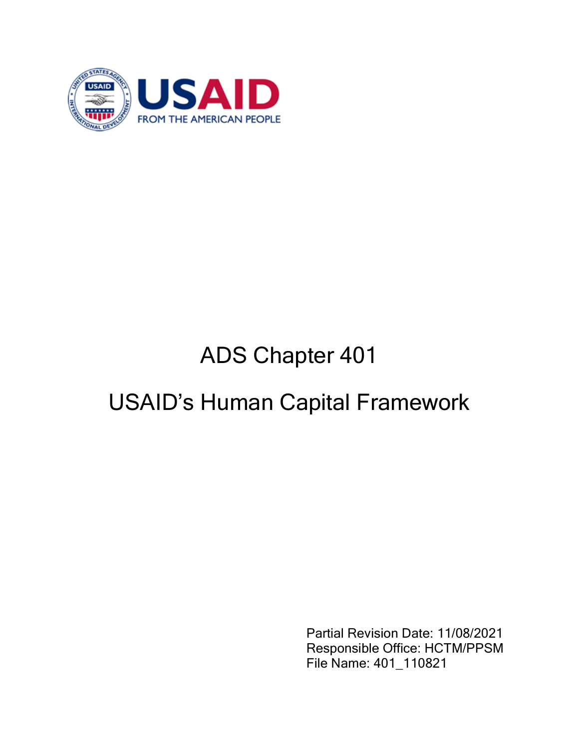

# ADS Chapter 401

# USAID's Human Capital Framework

Partial Revision Date: 11/08/2021 Responsible Office: HCTM/PPSM File Name: 401\_110821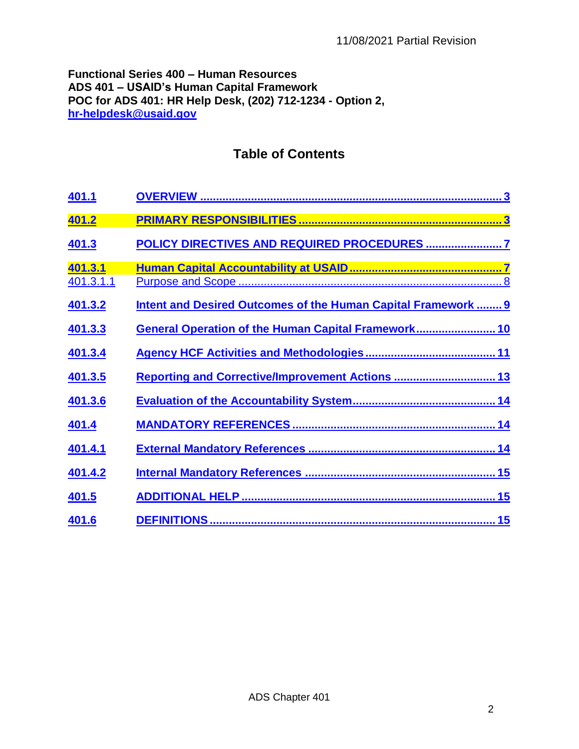#### **Functional Series 400 – Human Resources ADS 401 – USAID's Human Capital Framework POC for ADS 401: HR Help Desk, (202) 712-1234 - Option 2, [hr-helpdesk@usaid.gov](mailto:hr-helpdesk@usaid.gov)**

# **Table of Contents**

| 401.1     |                                                                      |
|-----------|----------------------------------------------------------------------|
| 401.2     |                                                                      |
| 401.3     |                                                                      |
| 401.3.1   |                                                                      |
| 401.3.1.1 |                                                                      |
| 401.3.2   | <b>Intent and Desired Outcomes of the Human Capital Framework  9</b> |
| 401.3.3   | General Operation of the Human Capital Framework 10                  |
| 401.3.4   |                                                                      |
| 401.3.5   | Reporting and Corrective/Improvement Actions  13                     |
| 401.3.6   |                                                                      |
| 401.4     |                                                                      |
| 401.4.1   |                                                                      |
| 401.4.2   |                                                                      |
| 401.5     |                                                                      |
| 401.6     |                                                                      |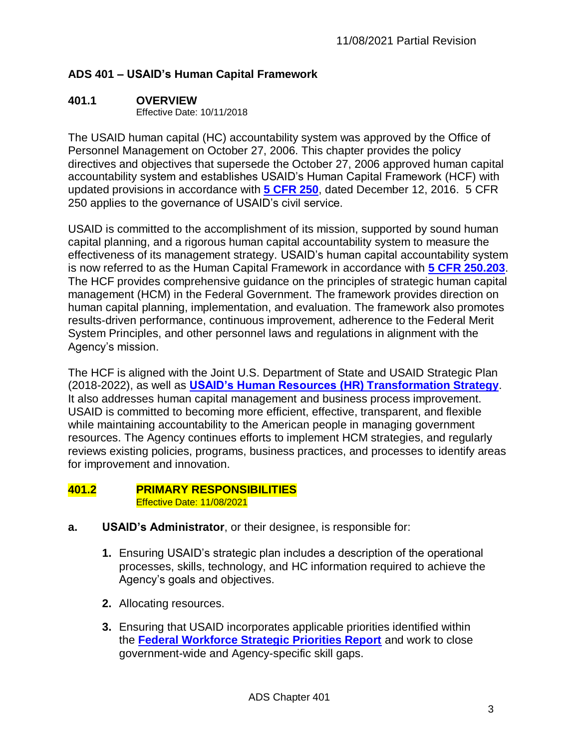# **ADS 401 – USAID's Human Capital Framework**

## <span id="page-2-0"></span>**401.1 OVERVIEW**

Effective Date: 10/11/2018

The USAID human capital (HC) accountability system was approved by the Office of Personnel Management on October 27, 2006. This chapter provides the policy directives and objectives that supersede the October 27, 2006 approved human capital accountability system and establishes USAID's Human Capital Framework (HCF) with updated provisions in accordance with **[5 CFR 250](https://www.gpo.gov/fdsys/pkg/CFR-2013-title5-vol1/xml/CFR-2013-title5-vol1-part250.xml)**, dated December 12, 2016. 5 CFR 250 applies to the governance of USAID's civil service.

USAID is committed to the accomplishment of its mission, supported by sound human capital planning, and a rigorous human capital accountability system to measure the effectiveness of its management strategy. USAID's human capital accountability system is now referred to as the Human Capital Framework in accordance with **[5 CFR 250.203](https://www.gpo.gov/fdsys/pkg/CFR-2013-title5-vol1/xml/CFR-2013-title5-vol1-part250.xml)**. The HCF provides comprehensive guidance on the principles of strategic human capital management (HCM) in the Federal Government. The framework provides direction on human capital planning, implementation, and evaluation. The framework also promotes results-driven performance, continuous improvement, adherence to the Federal Merit System Principles, and other personnel laws and regulations in alignment with the Agency's mission.

The HCF is aligned with the Joint U.S. Department of State and USAID Strategic Plan (2018-2022), as well as **USAID's Human Resources [\(HR\) Transformation Strategy](https://pages.usaid.gov/system/files/usaid_hr_transformation_strategy_and_action_plan.pdf)**. It also addresses human capital management and business process improvement. USAID is committed to becoming more efficient, effective, transparent, and flexible while maintaining accountability to the American people in managing government resources. The Agency continues efforts to implement HCM strategies, and regularly reviews existing policies, programs, business practices, and processes to identify areas for improvement and innovation.

#### <span id="page-2-1"></span>**401.2 PRIMARY RESPONSIBILITIES** Effective Date: 11/08/2021

- **a. USAID's Administrator**, or their designee, is responsible for:
	- **1.** Ensuring USAID's strategic plan includes a description of the operational processes, skills, technology, and HC information required to achieve the Agency's goals and objectives.
	- **2.** Allocating resources.
	- **3.** Ensuring that USAID incorporates applicable priorities identified within the **[Federal Workforce Strategic Priorities Report](https://www.opm.gov/policy-data-oversight/human-capital-management/federal-workforce-priorities-report/2018-federal-workforce-priorities-report.pdf)** and work to close government-wide and Agency-specific skill gaps.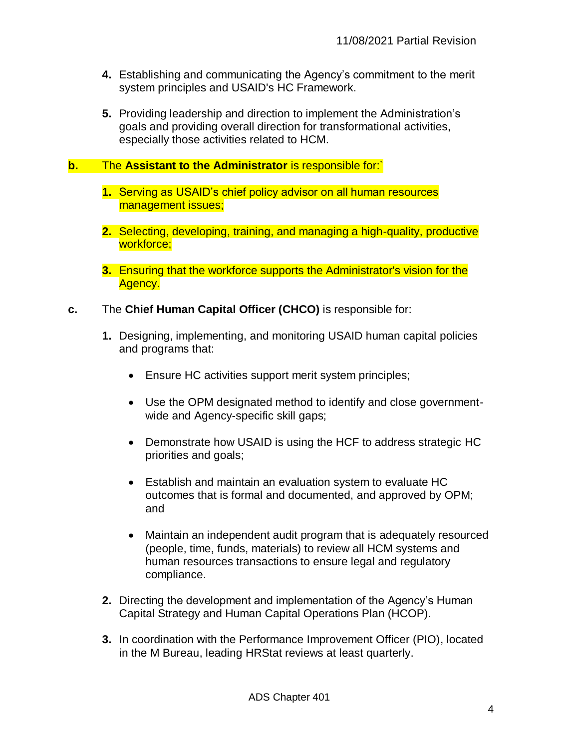- **4.** Establishing and communicating the Agency's commitment to the merit system principles and USAID's HC Framework.
- **5.** Providing leadership and direction to implement the Administration's goals and providing overall direction for transformational activities, especially those activities related to HCM.
- **b.** The **Assistant to the Administrator** is responsible for:`
	- **1.** Serving as USAID's chief policy advisor on all human resources management issues;
	- **2.** Selecting, developing, training, and managing a high-quality, productive workforce;
	- **3.** Ensuring that the workforce supports the Administrator's vision for the Agency.
- **c.** The **Chief Human Capital Officer (CHCO)** is responsible for:
	- **1.** Designing, implementing, and monitoring USAID human capital policies and programs that:
		- Ensure HC activities support merit system principles;
		- Use the OPM designated method to identify and close governmentwide and Agency-specific skill gaps;
		- Demonstrate how USAID is using the HCF to address strategic HC priorities and goals;
		- Establish and maintain an evaluation system to evaluate HC outcomes that is formal and documented, and approved by OPM; and
		- Maintain an independent audit program that is adequately resourced (people, time, funds, materials) to review all HCM systems and human resources transactions to ensure legal and regulatory compliance.
	- **2.** Directing the development and implementation of the Agency's Human Capital Strategy and Human Capital Operations Plan (HCOP).
	- **3.** In coordination with the Performance Improvement Officer (PIO), located in the M Bureau, leading HRStat reviews at least quarterly.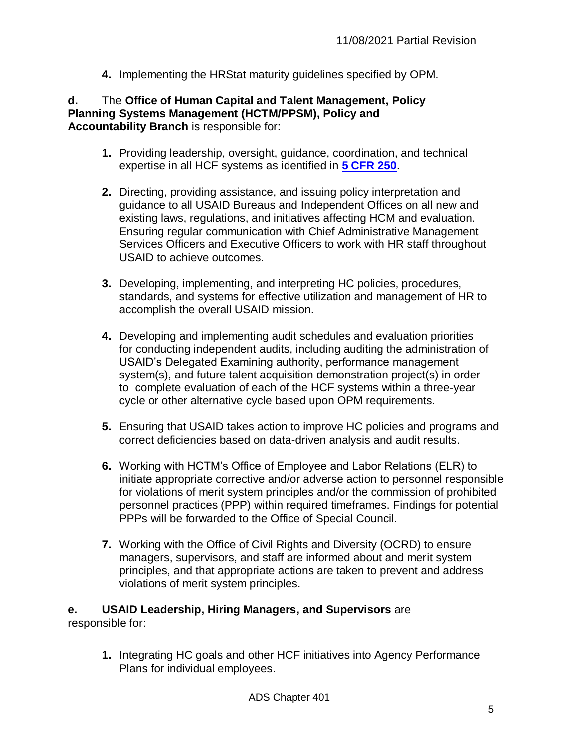**4.** Implementing the HRStat maturity guidelines specified by OPM.

#### **d.** The **Office of Human Capital and Talent Management, Policy Planning Systems Management (HCTM/PPSM), Policy and Accountability Branch** is responsible for:

- **1.** Providing leadership, oversight, guidance, coordination, and technical expertise in all HCF systems as identified in **[5 CFR 250](https://www.gpo.gov/fdsys/pkg/CFR-2013-title5-vol1/xml/CFR-2013-title5-vol1-part250.xml)**.
- **2.** Directing, providing assistance, and issuing policy interpretation and guidance to all USAID Bureaus and Independent Offices on all new and existing laws, regulations, and initiatives affecting HCM and evaluation. Ensuring regular communication with Chief Administrative Management Services Officers and Executive Officers to work with HR staff throughout USAID to achieve outcomes.
- **3.** Developing, implementing, and interpreting HC policies, procedures, standards, and systems for effective utilization and management of HR to accomplish the overall USAID mission.
- **4.** Developing and implementing audit schedules and evaluation priorities for conducting independent audits, including auditing the administration of USAID's Delegated Examining authority, performance management system(s), and future talent acquisition demonstration project(s) in order to complete evaluation of each of the HCF systems within a three-year cycle or other alternative cycle based upon OPM requirements.
- **5.** Ensuring that USAID takes action to improve HC policies and programs and correct deficiencies based on data-driven analysis and audit results.
- **6.** Working with HCTM's Office of Employee and Labor Relations (ELR) to initiate appropriate corrective and/or adverse action to personnel responsible for violations of merit system principles and/or the commission of prohibited personnel practices (PPP) within required timeframes. Findings for potential PPPs will be forwarded to the Office of Special Council.
- **7.** Working with the Office of Civil Rights and Diversity (OCRD) to ensure managers, supervisors, and staff are informed about and merit system principles, and that appropriate actions are taken to prevent and address violations of merit system principles.

#### **e. USAID Leadership, Hiring Managers, and Supervisors** are responsible for:

**1.** Integrating HC goals and other HCF initiatives into Agency Performance Plans for individual employees.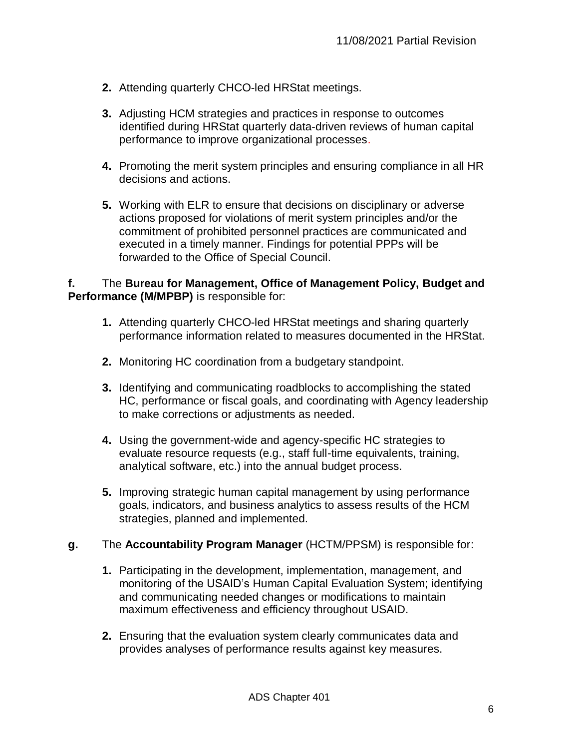- **2.** Attending quarterly CHCO-led HRStat meetings.
- **3.** Adjusting HCM strategies and practices in response to outcomes identified during HRStat quarterly data-driven reviews of human capital performance to improve organizational processes.
- **4.** Promoting the merit system principles and ensuring compliance in all HR decisions and actions.
- **5.** Working with ELR to ensure that decisions on disciplinary or adverse actions proposed for violations of merit system principles and/or the commitment of prohibited personnel practices are communicated and executed in a timely manner. Findings for potential PPPs will be forwarded to the Office of Special Council.

#### **f.** The **Bureau for Management, Office of Management Policy, Budget and Performance (M/MPBP)** is responsible for:

- **1.** Attending quarterly CHCO-led HRStat meetings and sharing quarterly performance information related to measures documented in the HRStat.
- **2.** Monitoring HC coordination from a budgetary standpoint.
- **3.** Identifying and communicating roadblocks to accomplishing the stated HC, performance or fiscal goals, and coordinating with Agency leadership to make corrections or adjustments as needed.
- **4.** Using the government-wide and agency-specific HC strategies to evaluate resource requests (e.g., staff full-time equivalents, training, analytical software, etc.) into the annual budget process.
- **5.** Improving strategic human capital management by using performance goals, indicators, and business analytics to assess results of the HCM strategies, planned and implemented.
- **g.** The **Accountability Program Manager** (HCTM/PPSM) is responsible for:
	- **1.** Participating in the development, implementation, management, and monitoring of the USAID's Human Capital Evaluation System; identifying and communicating needed changes or modifications to maintain maximum effectiveness and efficiency throughout USAID.
	- **2.** Ensuring that the evaluation system clearly communicates data and provides analyses of performance results against key measures.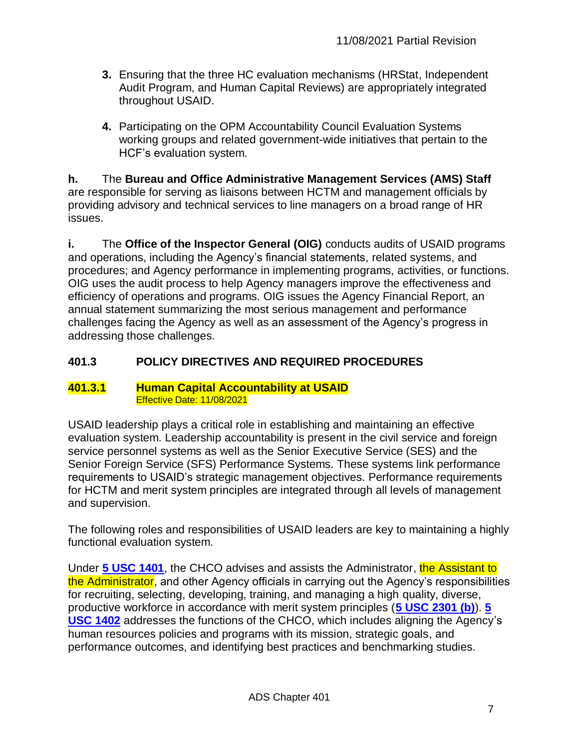- **3.** Ensuring that the three HC evaluation mechanisms (HRStat, Independent Audit Program, and Human Capital Reviews) are appropriately integrated throughout USAID.
- **4.** Participating on the OPM Accountability Council Evaluation Systems working groups and related government-wide initiatives that pertain to the HCF's evaluation system.

**h.** The **Bureau and Office Administrative Management Services (AMS) Staff** are responsible for serving as liaisons between HCTM and management officials by providing advisory and technical services to line managers on a broad range of HR issues.

**i.** The **Office of the Inspector General (OIG)** conducts audits of USAID programs and operations, including the Agency's financial statements, related systems, and procedures; and Agency performance in implementing programs, activities, or functions. OIG uses the audit process to help Agency managers improve the effectiveness and efficiency of operations and programs. OIG issues the Agency Financial Report, an annual statement summarizing the most serious management and performance challenges facing the Agency as well as an assessment of the Agency's progress in addressing those challenges.

# <span id="page-6-0"></span>**401.3 POLICY DIRECTIVES AND REQUIRED PROCEDURES**

#### <span id="page-6-1"></span>**401.3.1 Human Capital Accountability at USAID** Effective Date: 11/08/2021

USAID leadership plays a critical role in establishing and maintaining an effective evaluation system. Leadership accountability is present in the civil service and foreign service personnel systems as well as the Senior Executive Service (SES) and the Senior Foreign Service (SFS) Performance Systems. These systems link performance requirements to USAID's strategic management objectives. Performance requirements for HCTM and merit system principles are integrated through all levels of management and supervision.

The following roles and responsibilities of USAID leaders are key to maintaining a highly functional evaluation system.

Under **[5 USC 1401](https://www.law.cornell.edu/uscode/text/5/1401)**, the CHCO advises and assists the Administrator, the Assistant to the Administrator, and other Agency officials in carrying out the Agency's responsibilities for recruiting, selecting, developing, training, and managing a high quality, diverse, productive workforce in accordance with merit system principles (**5 USC [2301 \(b\)](http://uscode.house.gov/uscode-cgi/fastweb.exe?getdoc+uscview+t05t08+179+0++%28%29%20%20AND%20%28%285%29%20ADJ%20USC%29%3ACITE%20AND%20%28USC%20w%2F10%20%282301%29%29%3ACITE%20%20%20%20%20%20%20%20%20)**). **[5](http://uscode.house.gov/uscode-cgi/fastweb.exe?getdoc+uscview+t05t08+154+0++%28%29%20%20AN)  USC [1402](http://uscode.house.gov/uscode-cgi/fastweb.exe?getdoc+uscview+t05t08+154+0++%28%29%20%20AN)** addresses the functions of the CHCO, which includes aligning the Agency's human resources policies and programs with its mission, strategic goals, and performance outcomes, and identifying best practices and benchmarking studies.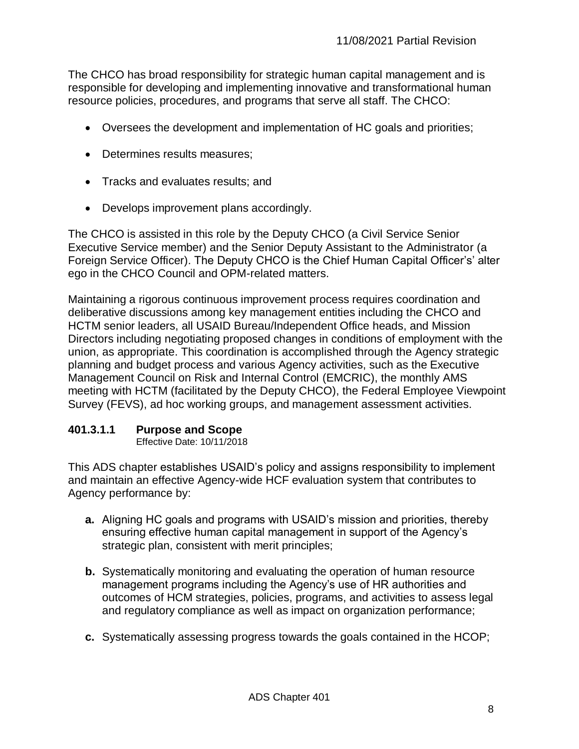The CHCO has broad responsibility for strategic human capital management and is responsible for developing and implementing innovative and transformational human resource policies, procedures, and programs that serve all staff. The CHCO:

- Oversees the development and implementation of HC goals and priorities;
- Determines results measures:
- Tracks and evaluates results; and
- Develops improvement plans accordingly.

The CHCO is assisted in this role by the Deputy CHCO (a Civil Service Senior Executive Service member) and the Senior Deputy Assistant to the Administrator (a Foreign Service Officer). The Deputy CHCO is the Chief Human Capital Officer's' alter ego in the CHCO Council and OPM-related matters.

Maintaining a rigorous continuous improvement process requires coordination and deliberative discussions among key management entities including the CHCO and HCTM senior leaders, all USAID Bureau/Independent Office heads, and Mission Directors including negotiating proposed changes in conditions of employment with the union, as appropriate. This coordination is accomplished through the Agency strategic planning and budget process and various Agency activities, such as the Executive Management Council on Risk and Internal Control (EMCRIC), the monthly AMS meeting with HCTM (facilitated by the Deputy CHCO), the Federal Employee Viewpoint Survey (FEVS), ad hoc working groups, and management assessment activities.

## <span id="page-7-0"></span>**401.3.1.1 Purpose and Scope**

Effective Date: 10/11/2018

This ADS chapter establishes USAID's policy and assigns responsibility to implement and maintain an effective Agency-wide HCF evaluation system that contributes to Agency performance by:

- **a.** Aligning HC goals and programs with USAID's mission and priorities, thereby ensuring effective human capital management in support of the Agency's strategic plan, consistent with merit principles;
- **b.** Systematically monitoring and evaluating the operation of human resource management programs including the Agency's use of HR authorities and outcomes of HCM strategies, policies, programs, and activities to assess legal and regulatory compliance as well as impact on organization performance;
- **c.** Systematically assessing progress towards the goals contained in the HCOP;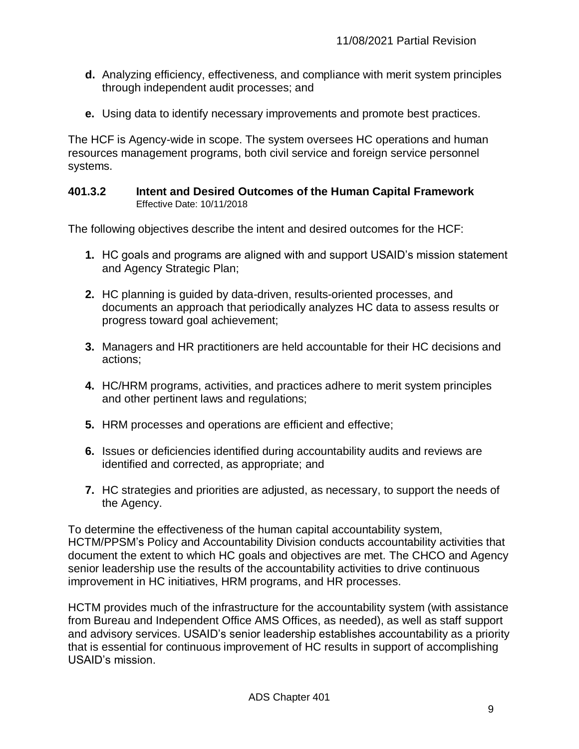- **d.** Analyzing efficiency, effectiveness, and compliance with merit system principles through independent audit processes; and
- **e.** Using data to identify necessary improvements and promote best practices.

The HCF is Agency-wide in scope. The system oversees HC operations and human resources management programs, both civil service and foreign service personnel systems.

#### <span id="page-8-0"></span>**401.3.2 Intent and Desired Outcomes of the Human Capital Framework** Effective Date: 10/11/2018

The following objectives describe the intent and desired outcomes for the HCF:

- **1.** HC goals and programs are aligned with and support USAID's mission statement and Agency Strategic Plan;
- **2.** HC planning is guided by data-driven, results-oriented processes, and documents an approach that periodically analyzes HC data to assess results or progress toward goal achievement;
- **3.** Managers and HR practitioners are held accountable for their HC decisions and actions;
- **4.** HC/HRM programs, activities, and practices adhere to merit system principles and other pertinent laws and regulations;
- **5.** HRM processes and operations are efficient and effective;
- **6.** Issues or deficiencies identified during accountability audits and reviews are identified and corrected, as appropriate; and
- **7.** HC strategies and priorities are adjusted, as necessary, to support the needs of the Agency.

To determine the effectiveness of the human capital accountability system, HCTM/PPSM's Policy and Accountability Division conducts accountability activities that document the extent to which HC goals and objectives are met. The CHCO and Agency senior leadership use the results of the accountability activities to drive continuous improvement in HC initiatives, HRM programs, and HR processes.

HCTM provides much of the infrastructure for the accountability system (with assistance from Bureau and Independent Office AMS Offices, as needed), as well as staff support and advisory services. USAID's senior leadership establishes accountability as a priority that is essential for continuous improvement of HC results in support of accomplishing USAID's mission.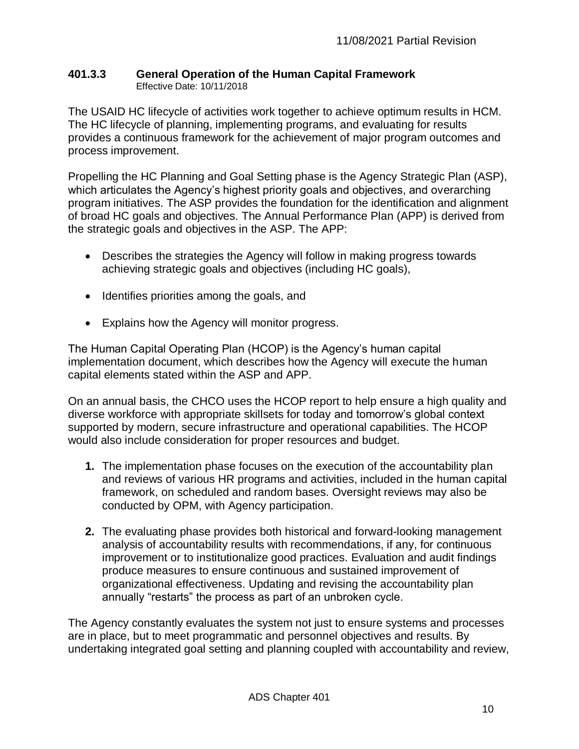#### <span id="page-9-0"></span>**401.3.3 General Operation of the Human Capital Framework** Effective Date: 10/11/2018

The USAID HC lifecycle of activities work together to achieve optimum results in HCM. The HC lifecycle of planning, implementing programs, and evaluating for results provides a continuous framework for the achievement of major program outcomes and process improvement.

Propelling the HC Planning and Goal Setting phase is the Agency Strategic Plan (ASP), which articulates the Agency's highest priority goals and objectives, and overarching program initiatives. The ASP provides the foundation for the identification and alignment of broad HC goals and objectives. The Annual Performance Plan (APP) is derived from the strategic goals and objectives in the ASP. The APP:

- Describes the strategies the Agency will follow in making progress towards achieving strategic goals and objectives (including HC goals),
- Identifies priorities among the goals, and
- Explains how the Agency will monitor progress.

The Human Capital Operating Plan (HCOP) is the Agency's human capital implementation document, which describes how the Agency will execute the human capital elements stated within the ASP and APP.

On an annual basis, the CHCO uses the HCOP report to help ensure a high quality and diverse workforce with appropriate skillsets for today and tomorrow's global context supported by modern, secure infrastructure and operational capabilities. The HCOP would also include consideration for proper resources and budget.

- **1.** The implementation phase focuses on the execution of the accountability plan and reviews of various HR programs and activities, included in the human capital framework, on scheduled and random bases. Oversight reviews may also be conducted by OPM, with Agency participation.
- **2.** The evaluating phase provides both historical and forward-looking management analysis of accountability results with recommendations, if any, for continuous improvement or to institutionalize good practices. Evaluation and audit findings produce measures to ensure continuous and sustained improvement of organizational effectiveness. Updating and revising the accountability plan annually "restarts" the process as part of an unbroken cycle.

The Agency constantly evaluates the system not just to ensure systems and processes are in place, but to meet programmatic and personnel objectives and results. By undertaking integrated goal setting and planning coupled with accountability and review,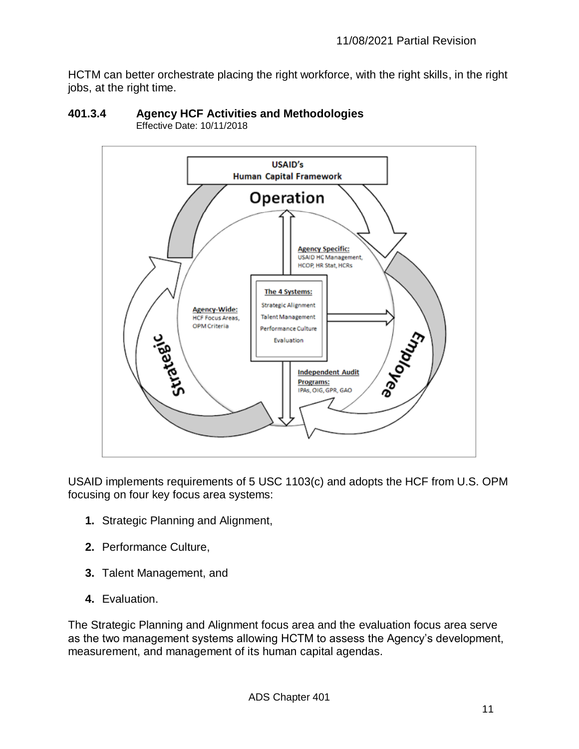HCTM can better orchestrate placing the right workforce, with the right skills, in the right jobs, at the right time.



#### <span id="page-10-0"></span>**401.3.4 Agency HCF Activities and Methodologies** Effective Date: 10/11/2018

USAID implements requirements of 5 USC 1103(c) and adopts the HCF from U.S. OPM focusing on four key focus area systems:

- **1.** Strategic Planning and Alignment,
- **2.** Performance Culture,
- **3.** Talent Management, and
- **4.** Evaluation.

The Strategic Planning and Alignment focus area and the evaluation focus area serve as the two management systems allowing HCTM to assess the Agency's development, measurement, and management of its human capital agendas.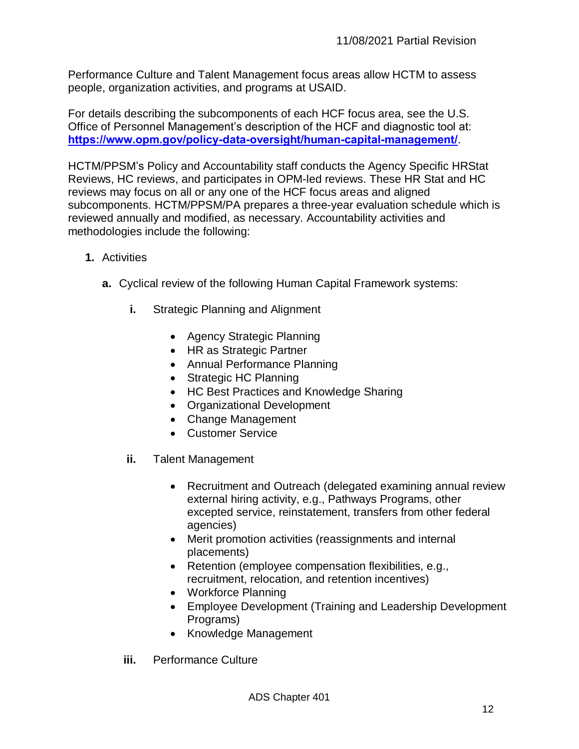Performance Culture and Talent Management focus areas allow HCTM to assess people, organization activities, and programs at USAID.

For details describing the subcomponents of each HCF focus area, see the U.S. Office of Personnel Management's description of the HCF and diagnostic tool at: **<https://www.opm.gov/policy-data-oversight/human-capital-management/>**.

HCTM/PPSM's Policy and Accountability staff conducts the Agency Specific HRStat Reviews, HC reviews, and participates in OPM-led reviews. These HR Stat and HC reviews may focus on all or any one of the HCF focus areas and aligned subcomponents. HCTM/PPSM/PA prepares a three-year evaluation schedule which is reviewed annually and modified, as necessary. Accountability activities and methodologies include the following:

- **1.** Activities
	- **a.** Cyclical review of the following Human Capital Framework systems:
		- **i.** Strategic Planning and Alignment
			- Agency Strategic Planning
			- HR as Strategic Partner
			- Annual Performance Planning
			- Strategic HC Planning
			- HC Best Practices and Knowledge Sharing
			- Organizational Development
			- Change Management
			- Customer Service
		- **ii.** Talent Management
			- Recruitment and Outreach (delegated examining annual review external hiring activity, e.g., Pathways Programs, other excepted service, reinstatement, transfers from other federal agencies)
			- Merit promotion activities (reassignments and internal placements)
			- Retention (employee compensation flexibilities, e.g., recruitment, relocation, and retention incentives)
			- Workforce Planning
			- Employee Development (Training and Leadership Development Programs)
			- Knowledge Management
		- **iii.** Performance Culture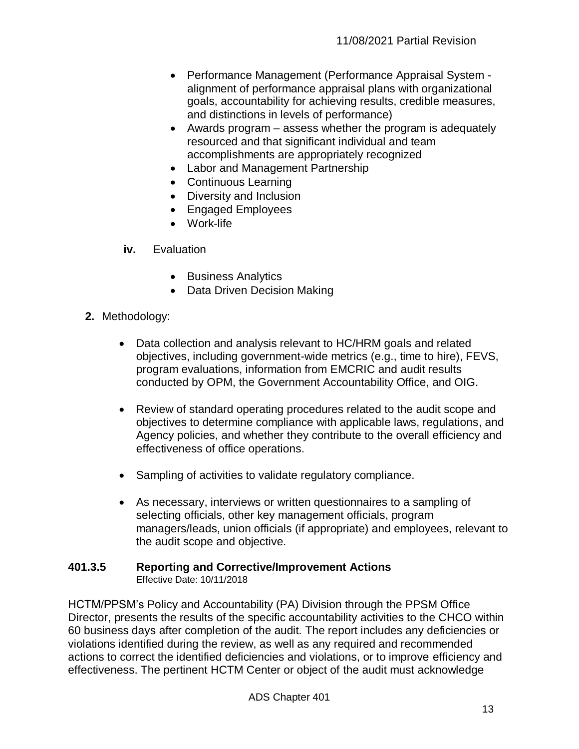- Performance Management (Performance Appraisal System alignment of performance appraisal plans with organizational goals, accountability for achieving results, credible measures, and distinctions in levels of performance)
- Awards program assess whether the program is adequately resourced and that significant individual and team accomplishments are appropriately recognized
- Labor and Management Partnership
- Continuous Learning
- Diversity and Inclusion
- Engaged Employees
- Work-life
- **iv.** Evaluation
	- Business Analytics
	- Data Driven Decision Making
- **2.** Methodology:
	- Data collection and analysis relevant to HC/HRM goals and related objectives, including government-wide metrics (e.g., time to hire), FEVS, program evaluations, information from EMCRIC and audit results conducted by OPM, the Government Accountability Office, and OIG.
	- Review of standard operating procedures related to the audit scope and objectives to determine compliance with applicable laws, regulations, and Agency policies, and whether they contribute to the overall efficiency and effectiveness of office operations.
	- Sampling of activities to validate regulatory compliance.
	- As necessary, interviews or written questionnaires to a sampling of selecting officials, other key management officials, program managers/leads, union officials (if appropriate) and employees, relevant to the audit scope and objective.

#### <span id="page-12-0"></span>**401.3.5 Reporting and Corrective/Improvement Actions**  Effective Date: 10/11/2018

HCTM/PPSM's Policy and Accountability (PA) Division through the PPSM Office Director, presents the results of the specific accountability activities to the CHCO within 60 business days after completion of the audit. The report includes any deficiencies or violations identified during the review, as well as any required and recommended actions to correct the identified deficiencies and violations, or to improve efficiency and effectiveness. The pertinent HCTM Center or object of the audit must acknowledge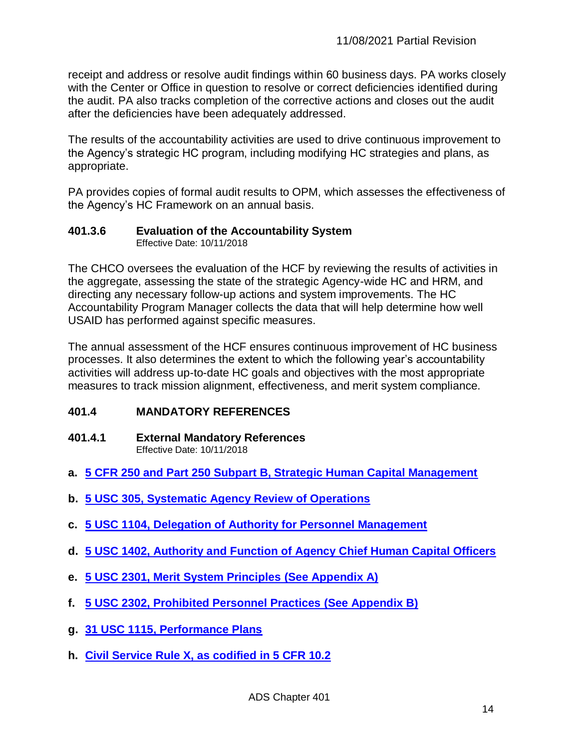receipt and address or resolve audit findings within 60 business days. PA works closely with the Center or Office in question to resolve or correct deficiencies identified during the audit. PA also tracks completion of the corrective actions and closes out the audit after the deficiencies have been adequately addressed.

The results of the accountability activities are used to drive continuous improvement to the Agency's strategic HC program, including modifying HC strategies and plans, as appropriate.

PA provides copies of formal audit results to OPM, which assesses the effectiveness of the Agency's HC Framework on an annual basis.

#### <span id="page-13-0"></span>**401.3.6 Evaluation of the Accountability System** Effective Date: 10/11/2018

The CHCO oversees the evaluation of the HCF by reviewing the results of activities in the aggregate, assessing the state of the strategic Agency-wide HC and HRM, and directing any necessary follow-up actions and system improvements. The HC Accountability Program Manager collects the data that will help determine how well USAID has performed against specific measures.

The annual assessment of the HCF ensures continuous improvement of HC business processes. It also determines the extent to which the following year's accountability activities will address up-to-date HC goals and objectives with the most appropriate measures to track mission alignment, effectiveness, and merit system compliance.

## <span id="page-13-1"></span>**401.4 MANDATORY REFERENCES**

- <span id="page-13-2"></span>**401.4.1 External Mandatory References** Effective Date: 10/11/2018
- **a. [5 CFR 250 and Part 250 Subpart B, Strategic Human Capital Management](https://www.gpo.gov/fdsys/pkg/CFR-2013-title5-vol1/xml/CFR-2013-title5-vol1-part250.xml)**
- **b. [5 USC 305, Systematic Agency Review of Operations](http://uscode.house.gov/view.xhtml?req=(title:5%20section:305%20edition:prelim)%20OR%20(granuleid:USC-prelim-title5-section305)&f=treesort&edition=prelim&num=0&jumpTo=true)**
- **c. 5 USC [1104, Delegation of Authority for Personnel Management](http://uscode.house.gov/view.xhtml?req=(title:5%20section:1401%20edition:prelim)%20OR%20(granuleid:USC-prelim-title5-section1401)&f=treesort&edition=prelim&num=0&jumpTo=true)**
- **d. [5 USC 1402, Authority and Function of Agency Chief Human Capital Officers](http://uscode.house.gov/view.xhtml?req=(title:5%20section:1402%20edition:prelim)%20OR%20(granuleid:USC-prelim-title5-section1402)&f=treesort&edition=prelim&num=0&jumpTo=true)**
- **e. [5 USC 2301, Merit System Principles \(See Appendix A\)](http://uscode.house.gov/view.xhtml?req=(title:5%20section:2301%20edition:prelim)%20OR%20(granuleid:USC-prelim-title5-section2301)&f=treesort&edition=prelim&num=0&jumpTo=true)**
- **f. [5 USC 2302, Prohibited Personnel Practices](http://uscode.house.gov/view.xhtml?req=(title:5%20section:2302%20edition:prelim)%20OR%20(granuleid:USC-prelim-title5-section2302)&f=treesort&edition=prelim&num=0&jumpTo=true) (See Appendix B)**
- **g. [31 USC 1115, Performance Plans](http://uscode.house.gov/view.xhtml?req=(title:31%20section:1115%20edition:prelim)%20OR%20(granuleid:USC-prelim-title31-section1115)&f=treesort&edition=prelim&num=0&jumpTo=true)**
- **h. [Civil Service Rule X, as codified in 5 CFR 10.2](https://www.gpo.gov/fdsys/pkg/CFR-2004-title5-vol1/pdf/CFR-2004-title5-vol1.pdf)**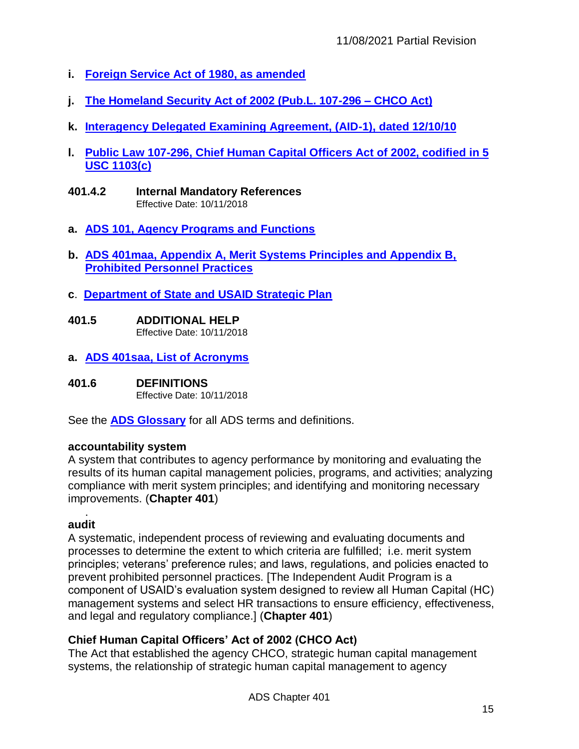- **i. [Foreign Service Act of 1980, as amended](http://www.usaid.gov/ads/policy/400/fsa)**
- **j. [The Homeland Security Act of 2002 \(Pub.L. 107-296 –](https://www.dhs.gov/sites/default/files/publications/hr_5005_enr.pdf) CHCO Act)**
- **k. [Interagency Delegated Examining Agreement, \(AID-1\), dated 12/10/10](file:///U:/PPSM/USAID%20Interagency%20Delegation%20Examining%20Agreement%202010.pdf)**
- **l. [Public Law 107-296, Chief Human Capital Officers Act of 2002, codified in 5](http://uscode.house.gov/view.xhtml?req=(title:5%20section:1103%20edition:prelim)%20OR%20(granuleid:USC-prelim-title5-section1103)&f=treesort&edition=prelim&num=0&jumpTo=true)  [USC 1103\(c\)](http://uscode.house.gov/view.xhtml?req=(title:5%20section:1103%20edition:prelim)%20OR%20(granuleid:USC-prelim-title5-section1103)&f=treesort&edition=prelim&num=0&jumpTo=true)**
- <span id="page-14-0"></span>**401.4.2 Internal Mandatory References** Effective Date: 10/11/2018
- **a. [ADS 101, Agency Programs and Functions](http://www.usaid.gov/ads/policy/100/101)**
- **b. [ADS 401maa, Appendix A, Merit Systems Principles and Appendix B,](http://www.usaid.gov/ads/policy/400/401maa)  [Prohibited Personnel Practices](http://www.usaid.gov/ads/policy/400/401maa)**
- **c**. **[Department of State and USAID Strategic Plan](https://www.state.gov/documents/organization/277156.pdf)**
- <span id="page-14-1"></span>**401.5 ADDITIONAL HELP**  Effective Date: 10/11/2018
- **a. [ADS 401saa, List of Acronyms](http://www.usaid.gov/ads/policy/400/401saa)**
- <span id="page-14-2"></span>**401.6 DEFINITIONS**

Effective Date: 10/11/2018

See the **[ADS Glossary](http://www.usaid.gov/ads/policy/glossary)** for all ADS terms and definitions.

#### **accountability system**

A system that contributes to agency performance by monitoring and evaluating the results of its human capital management policies, programs, and activities; analyzing compliance with merit system principles; and identifying and monitoring necessary improvements. (**Chapter 401**)

#### . **audit**

A systematic, independent process of reviewing and evaluating documents and processes to determine the extent to which criteria are fulfilled; i.e. merit system principles; veterans' preference rules; and laws, regulations, and policies enacted to prevent prohibited personnel practices. [The Independent Audit Program is a component of USAID's evaluation system designed to review all Human Capital (HC) management systems and select HR transactions to ensure efficiency, effectiveness, and legal and regulatory compliance.] (**Chapter 401**)

## **Chief Human Capital Officers' Act of 2002 (CHCO Act)**

The Act that established the agency CHCO, strategic human capital management systems, the relationship of strategic human capital management to agency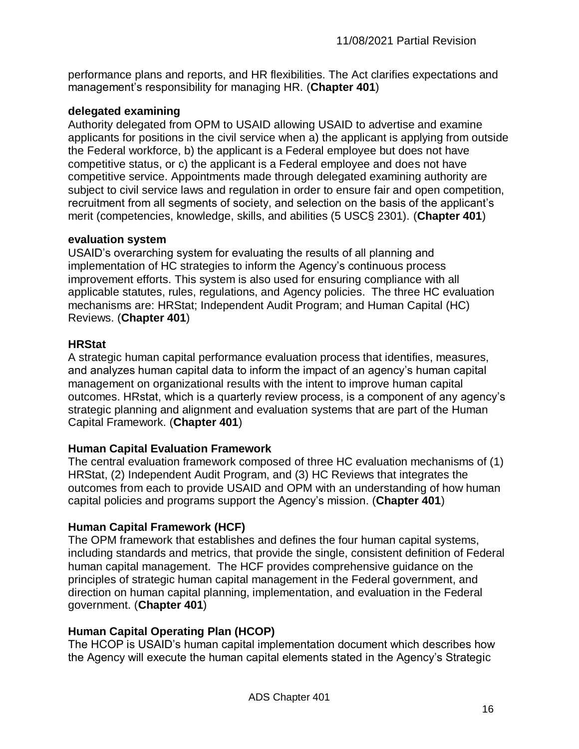performance plans and reports, and HR flexibilities. The Act clarifies expectations and management's responsibility for managing HR. (**Chapter 401**)

#### **delegated examining**

Authority delegated from OPM to USAID allowing USAID to advertise and examine applicants for positions in the civil service when a) the applicant is applying from outside the Federal workforce, b) the applicant is a Federal employee but does not have competitive status, or c) the applicant is a Federal employee and does not have competitive service. Appointments made through delegated examining authority are subject to civil service laws and regulation in order to ensure fair and open competition, recruitment from all segments of society, and selection on the basis of the applicant's merit (competencies, knowledge, skills, and abilities (5 USC§ 2301). (**Chapter 401**)

#### **evaluation system**

USAID's overarching system for evaluating the results of all planning and implementation of HC strategies to inform the Agency's continuous process improvement efforts. This system is also used for ensuring compliance with all applicable statutes, rules, regulations, and Agency policies. The three HC evaluation mechanisms are: HRStat; Independent Audit Program; and Human Capital (HC) Reviews. (**Chapter 401**)

## **HRStat**

A strategic human capital performance evaluation process that identifies, measures, and analyzes human capital data to inform the impact of an agency's human capital management on organizational results with the intent to improve human capital outcomes. HRstat, which is a quarterly review process, is a component of any agency's strategic planning and alignment and evaluation systems that are part of the Human Capital Framework. (**Chapter 401**)

# **Human Capital Evaluation Framework**

The central evaluation framework composed of three HC evaluation mechanisms of (1) HRStat, (2) Independent Audit Program, and (3) HC Reviews that integrates the outcomes from each to provide USAID and OPM with an understanding of how human capital policies and programs support the Agency's mission. (**Chapter 401**)

# **Human Capital Framework (HCF)**

The OPM framework that establishes and defines the four human capital systems, including standards and metrics, that provide the single, consistent definition of Federal human capital management. The HCF provides comprehensive guidance on the principles of strategic human capital management in the Federal government, and direction on human capital planning, implementation, and evaluation in the Federal government. (**Chapter 401**)

# **Human Capital Operating Plan (HCOP)**

The HCOP is USAID's human capital implementation document which describes how the Agency will execute the human capital elements stated in the Agency's Strategic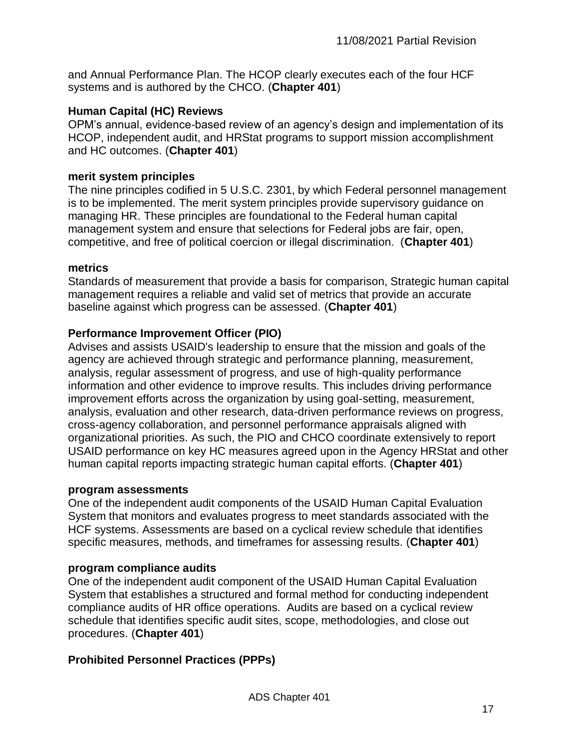and Annual Performance Plan. The HCOP clearly executes each of the four HCF systems and is authored by the CHCO. (**Chapter 401**)

## **Human Capital (HC) Reviews**

OPM's annual, evidence-based review of an agency's design and implementation of its HCOP, independent audit, and HRStat programs to support mission accomplishment and HC outcomes. (**Chapter 401**)

#### **merit system principles**

The nine principles codified in 5 U.S.C. 2301, by which Federal personnel management is to be implemented. The merit system principles provide supervisory guidance on managing HR. These principles are foundational to the Federal human capital management system and ensure that selections for Federal jobs are fair, open, competitive, and free of political coercion or illegal discrimination. (**Chapter 401**)

#### **metrics**

Standards of measurement that provide a basis for comparison, Strategic human capital management requires a reliable and valid set of metrics that provide an accurate baseline against which progress can be assessed. (**Chapter 401**)

## **Performance Improvement Officer (PIO)**

Advises and assists USAID's leadership to ensure that the mission and goals of the agency are achieved through strategic and performance planning, measurement, analysis, regular assessment of progress, and use of high-quality performance information and other evidence to improve results. This includes driving performance improvement efforts across the organization by using goal-setting, measurement, analysis, evaluation and other research, data-driven performance reviews on progress, cross-agency collaboration, and personnel performance appraisals aligned with organizational priorities. As such, the PIO and CHCO coordinate extensively to report USAID performance on key HC measures agreed upon in the Agency HRStat and other human capital reports impacting strategic human capital efforts. (**Chapter 401**)

#### **program assessments**

One of the independent audit components of the USAID Human Capital Evaluation System that monitors and evaluates progress to meet standards associated with the HCF systems. Assessments are based on a cyclical review schedule that identifies specific measures, methods, and timeframes for assessing results. (**Chapter 401**)

#### **program compliance audits**

One of the independent audit component of the USAID Human Capital Evaluation System that establishes a structured and formal method for conducting independent compliance audits of HR office operations. Audits are based on a cyclical review schedule that identifies specific audit sites, scope, methodologies, and close out procedures. (**Chapter 401**)

## **Prohibited Personnel Practices (PPPs)**